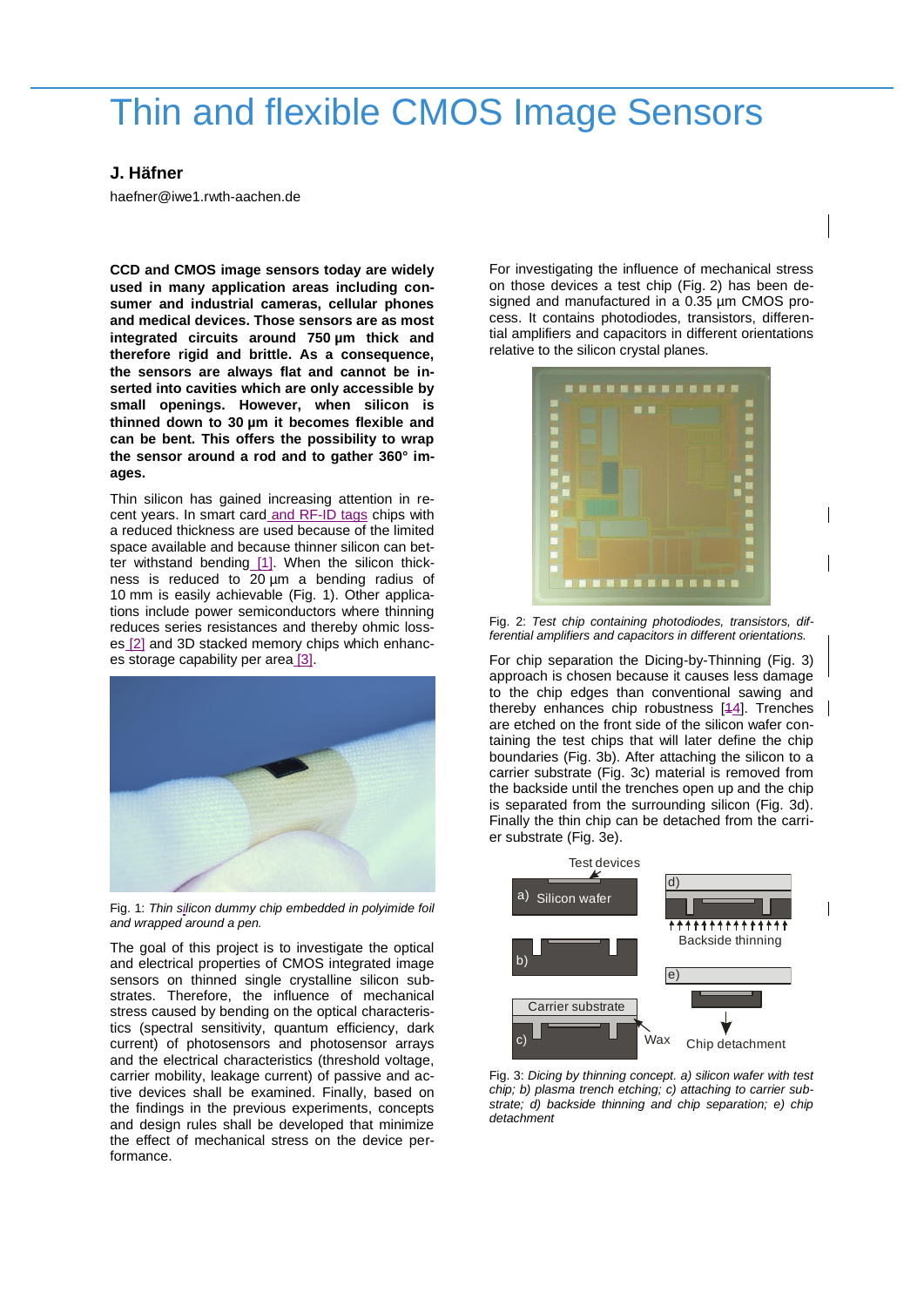## Thin and flexible CMOS Image Sensors

## **J. Häfner**

haefner@iwe1.rwth-aachen.de

**CCD and CMOS image sensors today are widely used in many application areas including consumer and industrial cameras, cellular phones and medical devices. Those sensors are as most integrated circuits around 750 µm thick and therefore rigid and brittle. As a consequence, the sensors are always flat and cannot be inserted into cavities which are only accessible by small openings. However, when silicon is thinned down to 30 µm it becomes flexible and can be bent. This offers the possibility to wrap the sensor around a rod and to gather 360° images.** 

Thin silicon has gained increasing attention in recent years. In smart card and RF-ID tags chips with a reduced thickness are used because of the limited space available and because thinner silicon can better withstand bending [1]. When the silicon thickness is reduced to 20 µm a bending radius of 10 mm is easily achievable (Fig. 1). Other applications include power semiconductors where thinning reduces series resistances and thereby ohmic losses [2] and 3D stacked memory chips which enhances storage capability per area [3].



Fig. 1: *Thin silicon dummy chip embedded in polyimide foil and wrapped around a pen.*

The goal of this project is to investigate the optical and electrical properties of CMOS integrated image sensors on thinned single crystalline silicon substrates. Therefore, the influence of mechanical stress caused by bending on the optical characteristics (spectral sensitivity, quantum efficiency, dark current) of photosensors and photosensor arrays and the electrical characteristics (threshold voltage, carrier mobility, leakage current) of passive and active devices shall be examined. Finally, based on the findings in the previous experiments, concepts and design rules shall be developed that minimize the effect of mechanical stress on the device performance.

For investigating the influence of mechanical stress on those devices a test chip (Fig. 2) has been designed and manufactured in a 0.35 µm CMOS process. It contains photodiodes, transistors, differential amplifiers and capacitors in different orientations relative to the silicon crystal planes.



Fig. 2: *Test chip containing photodiodes, transistors, differential amplifiers and capacitors in different orientations.*

For chip separation the Dicing-by-Thinning (Fig. 3) approach is chosen because it causes less damage to the chip edges than conventional sawing and thereby enhances chip robustness [14]. Trenches are etched on the front side of the silicon wafer containing the test chips that will later define the chip boundaries (Fig. 3b). After attaching the silicon to a carrier substrate (Fig. 3c) material is removed from the backside until the trenches open up and the chip is separated from the surrounding silicon (Fig. 3d). Finally the thin chip can be detached from the carrier substrate (Fig. 3e).



Fig. 3: *Dicing by thinning concept. a) silicon wafer with test chip; b) plasma trench etching; c) attaching to carrier substrate; d) backside thinning and chip separation; e) chip detachment*